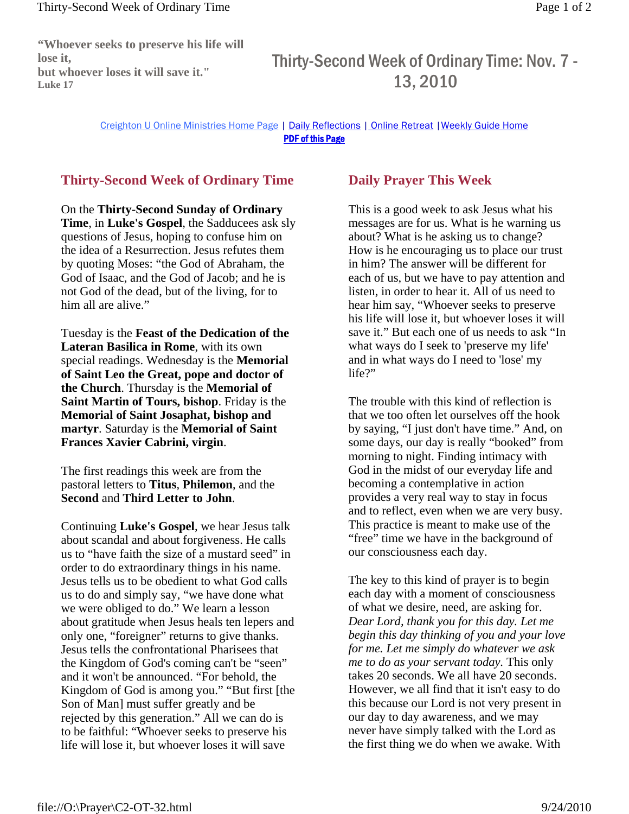**"Whoever seeks to preserve his life will lose it, but whoever loses it will save it." Luke 17**

## Thirty-Second Week of Ordinary Time: Nov. 7 - 13, 2010

Creighton U Online Ministries Home Page | Daily Reflections | Online Retreat |Weekly Guide Home PDF of this Page

## **Thirty-Second Week of Ordinary Time**

On the **Thirty-Second Sunday of Ordinary Time**, in **Luke's Gospel**, the Sadducees ask sly questions of Jesus, hoping to confuse him on the idea of a Resurrection. Jesus refutes them by quoting Moses: "the God of Abraham, the God of Isaac, and the God of Jacob; and he is not God of the dead, but of the living, for to him all are alive."

Tuesday is the **Feast of the Dedication of the Lateran Basilica in Rome**, with its own special readings. Wednesday is the **Memorial of Saint Leo the Great, pope and doctor of the Church**. Thursday is the **Memorial of Saint Martin of Tours, bishop**. Friday is the **Memorial of Saint Josaphat, bishop and martyr**. Saturday is the **Memorial of Saint Frances Xavier Cabrini, virgin**.

The first readings this week are from the pastoral letters to **Titus**, **Philemon**, and the **Second** and **Third Letter to John**.

Continuing **Luke's Gospel**, we hear Jesus talk about scandal and about forgiveness. He calls us to "have faith the size of a mustard seed" in order to do extraordinary things in his name. Jesus tells us to be obedient to what God calls us to do and simply say, "we have done what we were obliged to do." We learn a lesson about gratitude when Jesus heals ten lepers and only one, "foreigner" returns to give thanks. Jesus tells the confrontational Pharisees that the Kingdom of God's coming can't be "seen" and it won't be announced. "For behold, the Kingdom of God is among you." "But first [the Son of Man] must suffer greatly and be rejected by this generation." All we can do is to be faithful: "Whoever seeks to preserve his life will lose it, but whoever loses it will save

## **Daily Prayer This Week**

This is a good week to ask Jesus what his messages are for us. What is he warning us about? What is he asking us to change? How is he encouraging us to place our trust in him? The answer will be different for each of us, but we have to pay attention and listen, in order to hear it. All of us need to hear him say, "Whoever seeks to preserve his life will lose it, but whoever loses it will save it." But each one of us needs to ask "In what ways do I seek to 'preserve my life' and in what ways do I need to 'lose' my life?"

The trouble with this kind of reflection is that we too often let ourselves off the hook by saying, "I just don't have time." And, on some days, our day is really "booked" from morning to night. Finding intimacy with God in the midst of our everyday life and becoming a contemplative in action provides a very real way to stay in focus and to reflect, even when we are very busy. This practice is meant to make use of the "free" time we have in the background of our consciousness each day.

The key to this kind of prayer is to begin each day with a moment of consciousness of what we desire, need, are asking for. *Dear Lord, thank you for this day. Let me begin this day thinking of you and your love for me. Let me simply do whatever we ask me to do as your servant today.* This only takes 20 seconds. We all have 20 seconds. However, we all find that it isn't easy to do this because our Lord is not very present in our day to day awareness, and we may never have simply talked with the Lord as the first thing we do when we awake. With